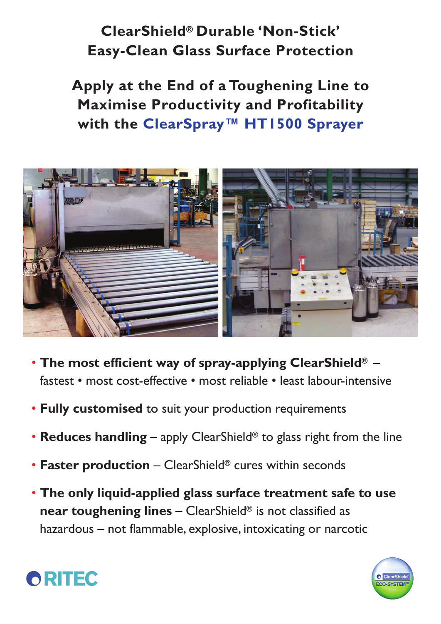## **ClearShield® Durable 'Non-Stick' Easy-Clean Glass Surface Protection**

**Apply at the End of a Toughening Line to Maximise Productivity and Profitability with the ClearSpray™ HT1500 Sprayer**



- **The most efficient way of spray-applying ClearShield®**  fastest • most cost-effective • most reliable • least labour-intensive
- **Fully customised** to suit your production requirements
- **Reduces handling** apply ClearShield® to glass right from the line
- **Faster production** ClearShield® cures within seconds
- **The only liquid-applied glass surface treatment safe to use near toughening lines** – ClearShield® is not classified as hazardous – not flammable, explosive, intoxicating or narcotic